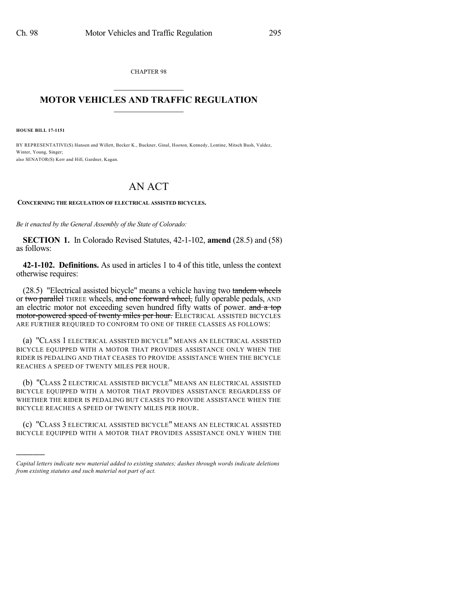CHAPTER 98  $\mathcal{L}_\text{max}$  . The set of the set of the set of the set of the set of the set of the set of the set of the set of the set of the set of the set of the set of the set of the set of the set of the set of the set of the set

## **MOTOR VEHICLES AND TRAFFIC REGULATION**  $\frac{1}{2}$  ,  $\frac{1}{2}$  ,  $\frac{1}{2}$  ,  $\frac{1}{2}$  ,  $\frac{1}{2}$  ,  $\frac{1}{2}$  ,  $\frac{1}{2}$

**HOUSE BILL 17-1151**

)))))

BY REPRESENTATIVE(S) Hansen and Willett, Becker K., Buckner, Ginal, Hooton, Kennedy, Lontine, Mitsch Bush, Valdez, Winter, Young, Singer; also SENATOR(S) Kerr and Hill, Gardner, Kagan.

## AN ACT

**CONCERNING THE REGULATION OF ELECTRICAL ASSISTED BICYCLES.**

*Be it enacted by the General Assembly of the State of Colorado:*

**SECTION 1.** In Colorado Revised Statutes, 42-1-102, **amend** (28.5) and (58) as follows:

**42-1-102. Definitions.** As used in articles 1 to 4 of this title, unless the context otherwise requires:

(28.5) "Electrical assisted bicycle" means a vehicle having two tandem wheels or two parallel THREE wheels, and one forward wheel, fully operable pedals, AND an electric motor not exceeding seven hundred fifty watts of power. and a top motor-powered speed of twenty miles per hour. ELECTRICAL ASSISTED BICYCLES ARE FURTHER REQUIRED TO CONFORM TO ONE OF THREE CLASSES AS FOLLOWS:

(a) "CLASS 1 ELECTRICAL ASSISTED BICYCLE" MEANS AN ELECTRICAL ASSISTED BICYCLE EQUIPPED WITH A MOTOR THAT PROVIDES ASSISTANCE ONLY WHEN THE RIDER IS PEDALING AND THAT CEASES TO PROVIDE ASSISTANCE WHEN THE BICYCLE REACHES A SPEED OF TWENTY MILES PER HOUR.

(b) "CLASS 2 ELECTRICAL ASSISTED BICYCLE" MEANS AN ELECTRICAL ASSISTED BICYCLE EQUIPPED WITH A MOTOR THAT PROVIDES ASSISTANCE REGARDLESS OF WHETHER THE RIDER IS PEDALING BUT CEASES TO PROVIDE ASSISTANCE WHEN THE BICYCLE REACHES A SPEED OF TWENTY MILES PER HOUR.

(c) "CLASS 3 ELECTRICAL ASSISTED BICYCLE" MEANS AN ELECTRICAL ASSISTED BICYCLE EQUIPPED WITH A MOTOR THAT PROVIDES ASSISTANCE ONLY WHEN THE

*Capital letters indicate new material added to existing statutes; dashes through words indicate deletions from existing statutes and such material not part of act.*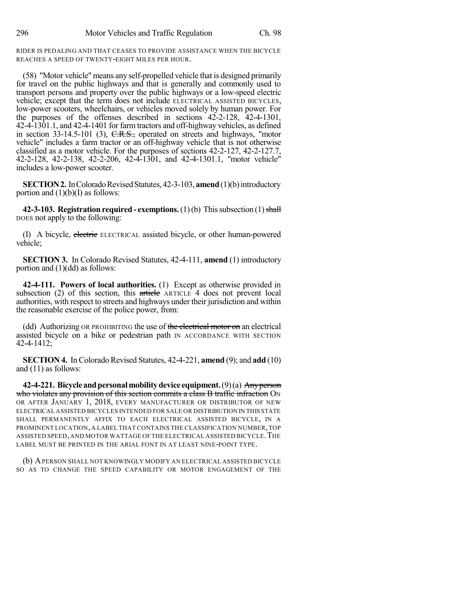RIDER IS PEDALING AND THAT CEASES TO PROVIDE ASSISTANCE WHEN THE BICYCLE REACHES A SPEED OF TWENTY-EIGHT MILES PER HOUR.

(58) "Motor vehicle" means any self-propelled vehicle that is designed primarily for travel on the public highways and that is generally and commonly used to transport persons and property over the public highways or a low-speed electric vehicle; except that the term does not include ELECTRICAL ASSISTED BICYCLES, low-power scooters, wheelchairs, or vehicles moved solely by human power. For the purposes of the offenses described in sections 42-2-128, 42-4-1301, 42-4-1301.1, and 42-4-1401 for farm tractors and off-highway vehicles, as defined in section 33-14.5-101 (3), C.R.S., operated on streets and highways, "motor vehicle" includes a farm tractor or an off-highway vehicle that is not otherwise classified as a motor vehicle. For the purposes of sections 42-2-127, 42-2-127.7, 42-2-128, 42-2-138, 42-2-206, 42-4-1301, and 42-4-1301.1, "motor vehicle" includes a low-power scooter.

**SECTION 2.** In Colorado Revised Statutes, 42-3-103, **amend** (1)(b) introductory portion and  $(1)(b)(I)$  as follows:

**42-3-103. Registration required - exemptions.** (1)(b) This subsection (1) shall DOES not apply to the following:

(I) A bicycle, electric ELECTRICAL assisted bicycle, or other human-powered vehicle;

**SECTION 3.** In Colorado Revised Statutes, 42-4-111, **amend** (1) introductory portion and (1)(dd) as follows:

**42-4-111. Powers of local authorities.** (1) Except as otherwise provided in subsection (2) of this section, this article ARTICLE 4 does not prevent local authorities, with respect to streets and highways under their jurisdiction and within the reasonable exercise of the police power, from:

(dd) Authorizing OR PROHIBITING the use of the electrical motor on an electrical assisted bicycle on a bike or pedestrian path IN ACCORDANCE WITH SECTION 42-4-1412;

**SECTION 4.** In Colorado Revised Statutes, 42-4-221, **amend** (9); and **add** (10) and (11) as follows:

**42-4-221. Bicycleandpersonalmobilitydevice equipment.**(9)(a) Anyperson who violates any provision of this section commits a class B traffic infraction ON OR AFTER JANUARY 1, 2018, EVERY MANUFACTURER OR DISTRIBUTOR OF NEW ELECTRICAL ASSISTED BICYCLES INTENDED FOR SALE OR DISTRIBUTION IN THIS STATE SHALL PERMANENTLY AFFIX TO EACH ELECTRICAL ASSISTED BICYCLE, IN A PROMINENT LOCATION, A LABEL THAT CONTAINS THE CLASSIFICATION NUMBER,TOP ASSISTED SPEED,AND MOTOR WATTAGE OF THE ELECTRICAL ASSISTED BICYCLE.THE LABEL MUST BE PRINTED IN THE ARIAL FONT IN AT LEAST NINE-POINT TYPE.

(b) APERSON SHALL NOT KNOWINGLY MODIFY AN ELECTRICAL ASSISTED BICYCLE SO AS TO CHANGE THE SPEED CAPABILITY OR MOTOR ENGAGEMENT OF THE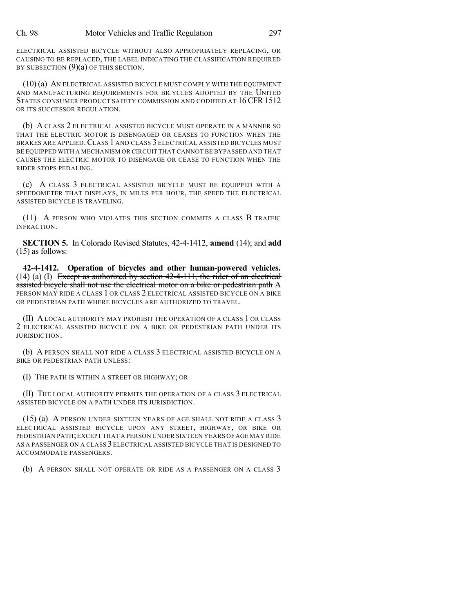ELECTRICAL ASSISTED BICYCLE WITHOUT ALSO APPROPRIATELY REPLACING, OR CAUSING TO BE REPLACED, THE LABEL INDICATING THE CLASSIFICATION REQUIRED BY SUBSECTION  $(9)(a)$  OF THIS SECTION.

(10) (a) AN ELECTRICAL ASSISTED BICYCLE MUST COMPLY WITH THE EQUIPMENT AND MANUFACTURING REQUIREMENTS FOR BICYCLES ADOPTED BY THE UNITED STATES CONSUMER PRODUCT SAFETY COMMISSION AND CODIFIED AT 16 CFR 1512 OR ITS SUCCESSOR REGULATION.

(b) A CLASS 2 ELECTRICAL ASSISTED BICYCLE MUST OPERATE IN A MANNER SO THAT THE ELECTRIC MOTOR IS DISENGAGED OR CEASES TO FUNCTION WHEN THE BRAKES ARE APPLIED.CLASS 1 AND CLASS 3 ELECTRICAL ASSISTED BICYCLES MUST BE EQUIPPED WITH A MECHANISM OR CIRCUIT THAT CANNOT BE BYPASSED AND THAT CAUSES THE ELECTRIC MOTOR TO DISENGAGE OR CEASE TO FUNCTION WHEN THE RIDER STOPS PEDALING.

(c) A CLASS 3 ELECTRICAL ASSISTED BICYCLE MUST BE EQUIPPED WITH A SPEEDOMETER THAT DISPLAYS, IN MILES PER HOUR, THE SPEED THE ELECTRICAL ASSISTED BICYCLE IS TRAVELING.

(11) A PERSON WHO VIOLATES THIS SECTION COMMITS A CLASS B TRAFFIC INFRACTION.

**SECTION 5.** In Colorado Revised Statutes, 42-4-1412, **amend** (14); and **add** (15) as follows:

**42-4-1412. Operation of bicycles and other human-powered vehicles.**  $(14)$  (a) (I) Except as authorized by section 42-4-111, the rider of an electrical assisted bicycle shall not use the electrical motor on a bike or pedestrian path A PERSON MAY RIDE A CLASS 1 OR CLASS 2 ELECTRICAL ASSISTED BICYCLE ON A BIKE OR PEDESTRIAN PATH WHERE BICYCLES ARE AUTHORIZED TO TRAVEL.

(II) A LOCAL AUTHORITY MAY PROHIBIT THE OPERATION OF A CLASS 1 OR CLASS 2 ELECTRICAL ASSISTED BICYCLE ON A BIKE OR PEDESTRIAN PATH UNDER ITS JURISDICTION.

(b) A PERSON SHALL NOT RIDE A CLASS 3 ELECTRICAL ASSISTED BICYCLE ON A BIKE OR PEDESTRIAN PATH UNLESS:

(I) THE PATH IS WITHIN A STREET OR HIGHWAY; OR

(II) THE LOCAL AUTHORITY PERMITS THE OPERATION OF A CLASS 3 ELECTRICAL ASSISTED BICYCLE ON A PATH UNDER ITS JURISDICTION.

(15) (a) A PERSON UNDER SIXTEEN YEARS OF AGE SHALL NOT RIDE A CLASS 3 ELECTRICAL ASSISTED BICYCLE UPON ANY STREET, HIGHWAY, OR BIKE OR PEDESTRIAN PATH;EXCEPT THAT A PERSON UNDER SIXTEEN YEARS OF AGE MAY RIDE AS A PASSENGER ON A CLASS 3 ELECTRICAL ASSISTED BICYCLE THAT IS DESIGNED TO ACCOMMODATE PASSENGERS.

(b) A PERSON SHALL NOT OPERATE OR RIDE AS A PASSENGER ON A CLASS 3